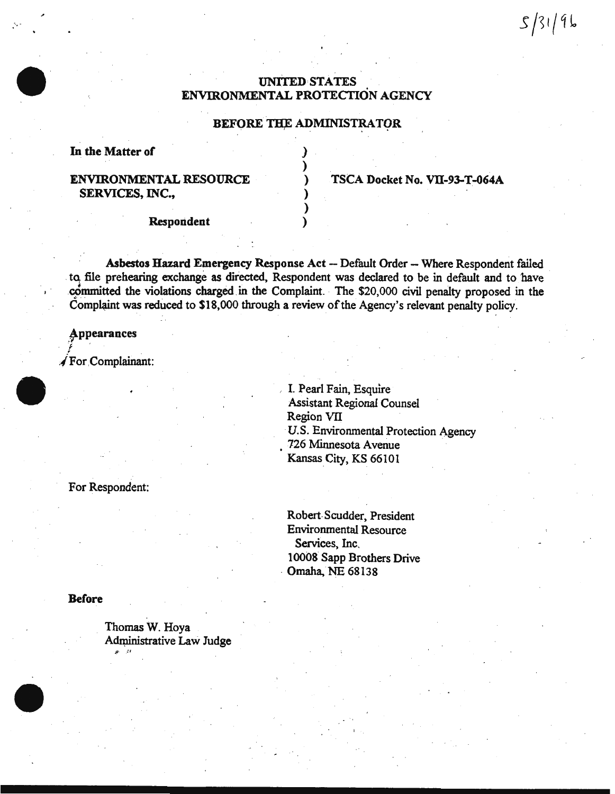# UNITED STATES ENVIRONMENTAL PROTECTION AGENCY

### BEFORE THE ADMINISTRATOR

) ) ) ) ) )

In the Matter of

# ENVIRONMENTAL RESOURCE SERVICES, INC.,

TSCA Docket No. VII-93-T-064A

Respondent

Asbestos Hazard Emergency Response Act -- Default Order -- Where Respondent failed to file prehearing exchange as directed, Respondent was declared to be in default and to have committed the violations charged in the Complaint. The \$20,000 civil penalty proposed in the Complaint was reduced to \$18,000 through a review of the Agency's relevant penalty policy.

**Appearances**  $\mathbf{f}$ 

/For .Complainant:

, I. Pearl Fain, Esquire Assistant Regional Counsel Region VII U.S. Environmental Protection Agency 726 Minnesota Avenue · Kansas City, KS 66101

For Respondent:

Robert. Scudder, President Environmental Resource Services, Inc. 10008 Sapp Brothers Drive · Omaha, NE 68138

**Before** 

Thomas W. Hoya Administrative Law Judge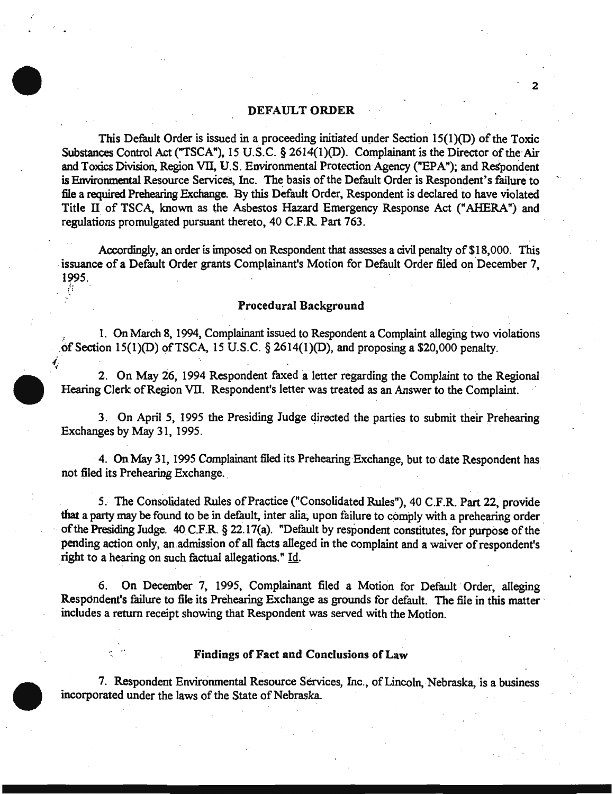## DEFAULT ORDER

*:* 

İ,

This Default Order is issued in a proceeding initiated under Section  $15(1)(D)$  of the Toxic Substances Control Act ("TSCA"), 15 U.S.C. § 2614(1)(D). Complainant is the Director of the Air and Toxics Division, Region VII, U.S. Environmental Protection Agency ("EPA"); and Respondent is Environmental Resource Services, Inc. The basis of the Default Order is Respondent's failure to file a required Prehearing Exchange. By this Default Order, Respondent is declared to have violated Title II of TSCA, known as the Asbestos Hazard Emergency Response Act (" AHERA ") and regulations promulgated pursuant thereto, 40 C.F.R. Part 763.

Accordingly, an order is imposed on Respondent that assesses a civil penalty of \$18,000. This issuance of a Default Order grants Complainant's Motion for Default Order filed on December 7. 1995.

#### Procedural Background

1. On March 8, 1994, Complainant issued to Respondent a Complaint alleging two violations of Section  $15(1)(D)$  of TSCA, 15 U.S.C. § 2614(1)(D), and proposing a \$20,000 penalty.

2. On May 26, 1994 Respondent faxed a letter regarding the Complaint to the Regional-Hearing Clerk of Region VII. Respondent's letter was treated as an Answer to the Complaint.

3. On April 5, 1995 the Presiding Judge directed the parties to submit their Prehearing Exchanges by May 31, 1995.

4. On May 31, 1995 Complainant filed its Prehearing Exchange, but to date Respondent has not filed its Prehearing Exchange.

5. The Consolidated Rules of Practice ("Consolidated Rules"), 40 C.F.R. Part 22, provide that a party may be found to be in default, inter alia, upon failure to comply with a prehearing order of the Presiding Judge. 40 C.F.R. § 22.17(a). "Default by respondent constitutes, for purpose of the pending action only, an.admission of all facts alleged in the complaint and a waiver of respondent's right to a hearing on such factual allegations." Id.

6. On December 7, 1995, Complainant filed a Motion for Default Order, alleging Respondent's failure to file its Prehearing Exchange as grounds for default. The file in this matter · includes a return receipt showing that Respondent was served with the Motion.

### Findings of Fact and Conclusions of Law

7. Respondent Environmental Resource Services, Inc., of Lincoln, Nebraska, is a business incorporated under the laws of the State of Nebraska.

- 2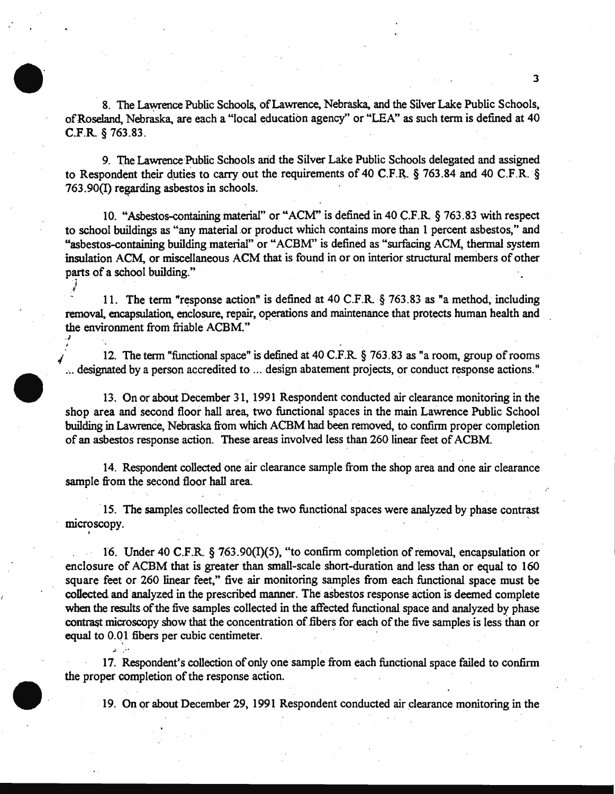8. The Lawrence Public Schools, of Lawrence, Nebraska, and the Silver Lake Public Schools, ofRoseland, Nebraska. are each a "local education agency'' or "LEA" as such term is defined at 40 C.F.R. § 763.83.

9. The Lawrence Public Schools arid the Silver Lake Public Schools delegated and assigned to Respondent their duties to carry out the requirements of 40 C.F.R.  $\S$  763.84 and 40 C.F.R.  $\S$  $763.90(I)$  regarding asbestos in schools.

10. "Asbestos-containing material" or "ACM" is defined in 40 C.F.R § 763.83 with respect to school buildings as "any material or product which contains more than 1 percent asbestos," and "asbestos-containing building material" or "ACBM" is defined as "surfacing ACM, thermal system insulation ACM, or miscellaneous ACM that is found in or on interior structural members of other parts of a school building."

11. The term "response action" is defined at 40 C.F.R. § 763.83 as "a method, including removal, encapsulation, enclosure, repair, operations and maintenance that protects human health and the environment from friable ACBM."

J ;~

*,J* 

I

12. The term "functional space" is defined at 40 C.F.R. § 763.83 as "a room, group of rooms .~. designated by a person accredited to ... design abatement projects, or conduct response actions."

13. On or about December 31, 1991 Respondent conducted air clearance monitoring in the shop area and second floor hall area. two functional spaces in the main Lawrence Public School building in Lawrence, Nebraska from which ACBM had been removed, to confirm proper completion of an asbestos response action. These areas involved less than 260 linear feet of ACBM.

14. Respondent collected one air clearance sample from the shop area and one air clearance sample from the second floor hall area.

·15. The samples collected from the two functional spaces were analyzed by phase contrast microscopy.

16. Under 40 C.F.R § 763.90(1)(5), "to confirm completion of removal, encapsulation or enclosure of ACBM that is greater than small-scale short-duration and less than or equal to 160 square feet or 260 linear feet," five air monitoring samples from each functional space must be collected and 'analyzed in the prescribed manner. The a5bestos response action is deemed complete when the results of the five samples collected in the affected functional space and analyzed by phase contrast microscopy show that the concentration of fibers for each of the five samples is less than or equal to 0.01 fibers per cubic centimeter.

17. Respondent's collection of only one sample from each functional space failed to confirm the proper completion of the response action.

19. On or about December 29, 1991 Respondent conducted air clearance monitoring in the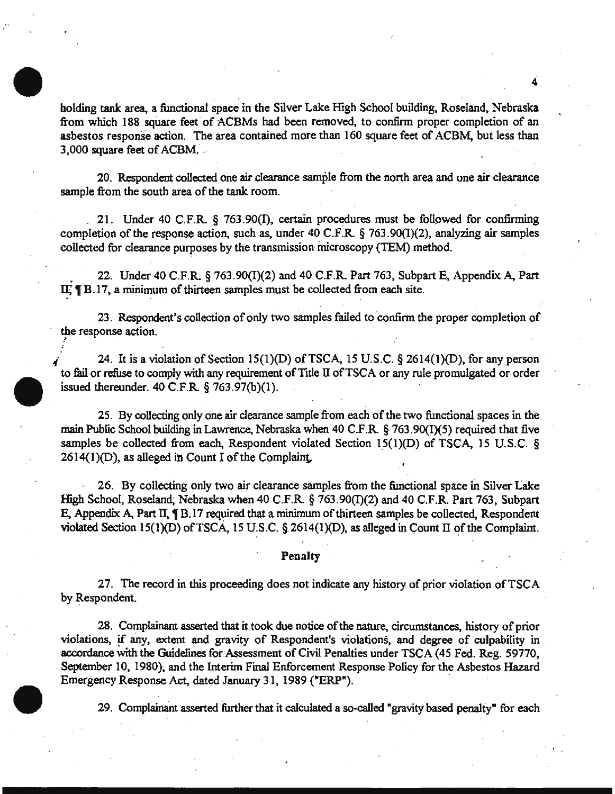holding tank area, a functional space in the Silver Lake High School building. Roseland, Nebraska from which 188 square feet of ACBMs had been removed, to confirm proper completion of an asbestos response action. The area contained more than 160 square feet of ACBM, but less than 3,000 square feet of ACBM. --

. . .

20. Respondent collected one air clearance sample from the north area and one air clearance sample from the south area of the tank room.

. 21. Under 40 C.F.R. § 763.90(1), certain procedures must be followed for confirming completion of the response action, such as, under 40 C.F.R. § 763.90(1)(2), analyzing air samples collected for clearance purposes by the transmission microscopy (TEM) method.

, 22. Under 40 C.F.R. § 763.90(1)(2) and 40 C.F.R. Part 763, Subpart E, Appendix A, Part  $I\mathbb{E}$  **T** B.17, a minimum of thirteen samples must be collected from each site.

23. Respondent's collection of only two samples failed to confirm the proper completion of the response action.

24. It is a violation of Section 15(1)(D) of TSCA, 15 U.S.C. § 2614(1)(D), for any person to fail or refuse to comply with any requirement of Title II of TSCA or any rule promulgated or order issued thereunder. 40 C.F.R § 763.97(b)(l).

25. By collecting only one air clearance sample from each of the two functional spaces in the main Public School building in Lawrence, Nebraska when 40 C.F.R.  $\S$  763.90(I)(5) required that five samples be collected from each, Respondent violated Section  $15(1)(D)$  of TSCA, 15 U.S.C. § 2614(1)(D), as alleged ih Count I of the Complaint,

26. By collecting only two air clearance samples from the functional space in Silver Lake High School, Roseland, Nebraska when 40 C.F.R.  $\S$  763.90( $\Pi$ )(2) and 40 C.F.R. Part 763, Subpart E, Appendix A, Part II,  $\P$  B.17 required that a minimum of thirteen samples be collected, Respondent violated Section 15(1)(D) of TSCA, 15 U.S.C. § 2614(1)(D), as alleged in Count II of the Complaint.

#### Penalty

27. The record in this proceeding does not indicate any history of prior violation of TSCA by Respondent.

28. Complainant asserted that it took due notice of the nature, circumstances, history of prior violations, !f any, extent and gravity of Respondent's violations, and degree of culpability in accordance with the Guidelines for Assessment of Civil Penalties under TSCA (45 Fed. Reg. 59770, September 10, 1980), and the Interim Final Enforcement Response Policy for the Asbestos Hazard Emergency Response Act, dated January 31, 1989 ("ERP").

29. Complamant asserted further that it caiculated a so-called "gravity based penalty" for each

 $\cdot$  ,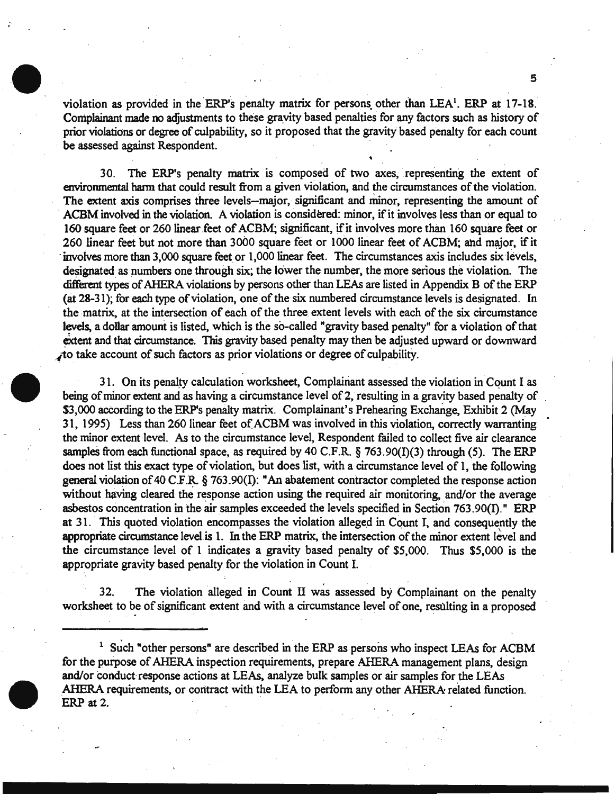violation as provided in the ERP's penalty matrix for persons other than  $LEA<sup>1</sup>$ . ERP at 17-18. Complainant made no adjustments to these gravity based penalties for any factors such as history of prior violations or degree of culpability, so it proposed that the gravity based penalty for each count be assessed against Respondent.

5

30. The ERP's penalty matrix is composed of two axes, representing the extent of environmental harm that could result from a given violation, and the circumstances of the violation. The extent axis comprises three levels--major, significant and minor, representing the amount of ACBM involved in the violation. A violation is considered: minor, if it involves less than or equal to 160 square feet or 260 linear feet of ACBM; significant, if it involves more than 160 square feet or 260 linear feet but not more than 3000 square feet or 1000 linear feet of ACBM; and major, if it involves more than 3,000 square feet or 1,000 linear feet. The circumstances axis includes six levels, designated as numbers one through six; the lower the number, the more serious the violation. The different types of AHERA violations by persons other than LEAs are listed in Appendix B of the ERP (at 28-31 ); for each type of violation, one of the six numbered circumstance levels is designated. In the matrix, at the intersection of each of the three extent levels with each of the six circumstance levels, a dollar amount is listed, which is the so-called "gravity based penalty" for a violation of that extent and that circumstance. This gravity based penalty may then be adjusted upward or downward ~10 take account of such factors as prior violations or degree of culpabilitY.

31. On its penalty calculation worksheet, Complainant assessed the violation in Count I as being of minor extent and as having a circumstance level of 2, resulting in a gravity based penalty of \$3,000 according to the ERP's penalty matrix. Complainant's Prehearing Exchange, Exhibit 2 (May 31, 1995) Less than 260 linear feet of ACBM was involved in this violation, correctly warranting the minor extent level. As to the circumstance level, Respondent failed to collect five air clearance samples from each functional space, as required by 40 C.F.R.  $\S$  763.90(I)(3) through (5). The ERP does not list this exact type of violation, but does list, with a circumstance level of 1, the following general violation of 40 C.F.R.  $\S$  763.90(I): "An abatement contractor completed the response action without having cleared the response action using the required air monitoring, and/or the average asbestos concentration in the air samples exceeded the levels specified in Section 763.90(I)." ERP at 31. This quoted violation encompasses the violation alleged in Count I, and consequently the appropriate circumstance level is 1. In the ERP matrix, the intersection of the minor extent level and the circumstance level of 1 indicates a gravity based penalty of \$5,000. Thus \$5,000 is the appropriate gravity based penalty for the violation in Count I.

32. The violation alleged in Count II was assessed by Complainant on the penalty worksheet to be of significant extent and with a circumstance level of one, resulting in a proposed

 $1$  Such "other persons" are described in the ERP as persons who inspect LEAs for ACBM for the purpose of AHERA inspection requirements, prepare AHERA management plans, design and/or conduct response actions at LEAs, analyze bulk samples or air samples for the LEAs AHERA requirements, or contract with the LEA to perform any other AHERA related function.<br>ERP at 2.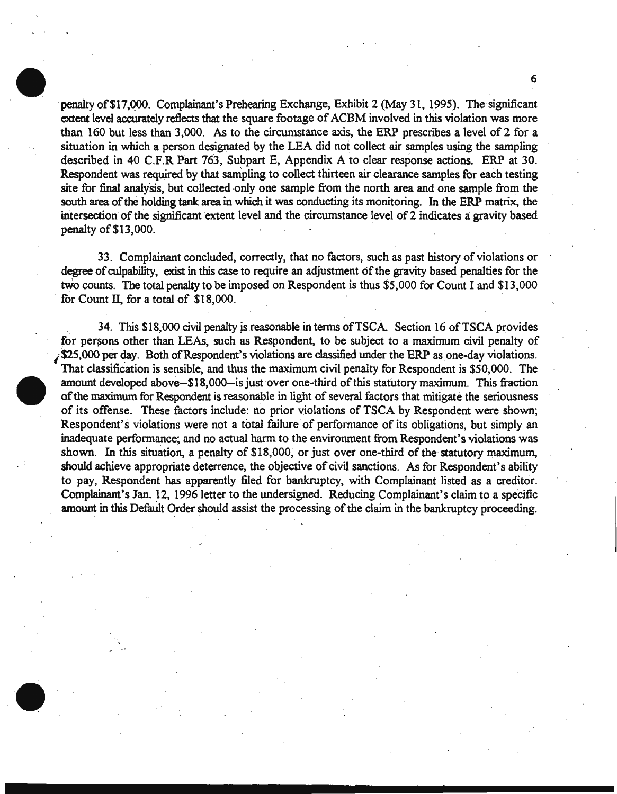penalty of \$17,000. Complainant's Prehearing Exchange, Exhibit 2 (May 31, 1995). The significant extent level accurately reflects that the square footage of ACBM involved in this violation was more than 160 but less than 3, 000. As to the circumstance axis, the ERP prescribes a level of 2. for a situation in which a person designated by the LEA did not collect air samples using the sampling described in 40 C.F.R Part 763, Subpart E, Appendix A to clear response actions. ERP at 30. Respondent was required by that sampling to collect thirteen air clearance samples for each testing site for final analysis, but collected only one sample from the north area and one sample from the south area of the holding tank area in which it was conducting its monitoring. In the ERP matrix, the intersection of the significant extent level and the circumstance level of 2 indicates a gravity based penalty of \$13,000.

6

33. Complainant concluded, correctly, that no factors, such as past history of violations or degree of culpability, exist in this case to require an adjustment of the gravity based penalties for the two counts. The total penalty to be imposed on Respondent is thus \$5,000 for Count I and \$13,000 for Count II, for a total of  $$18,000$ .

34. This \$18,000 civil penalty is reasonable in terms of TSCA. Section 16 of TSCA provides for persons other than LEAs, such as Respondent, to be subject to a maximum civil penalty of  $\cdot$  \$25,000 per day. Both of Respondent's violations are classified under the ERP as one-day violations. That classification is sensible, and thus the maximum civil penalty for Respondent is \$50,000. The amount developed above--\$18,000--is just over one-third of this statutory maximum. This fraction of the maximum for Respondent is reasonable in light of several factors that mitigate the seriousness of its offense. These factors include: no prior violations of TSCA by Respondent were shown; Respondent's violations were not a total failure of performance of its obligations, but simply an inadequate performance; and no actual harm to the environment from Respondent's violations was shown. In this situation, a penalty of \$18,000, or just over one-third of the statutory maximum, should achieve appropriate deterrence, the objective of civil sanctions. As for Respondent's ability to pay, Respondent has apparently filed for bankruptcy, with Complainant listed as a creditor. Complainant's Jan. 12, 1996 letter to the undersigned. Reducing Complainant's claim to a specific amount in this Default Order should assist the processing of the claim in the bankruptcy proceeding.